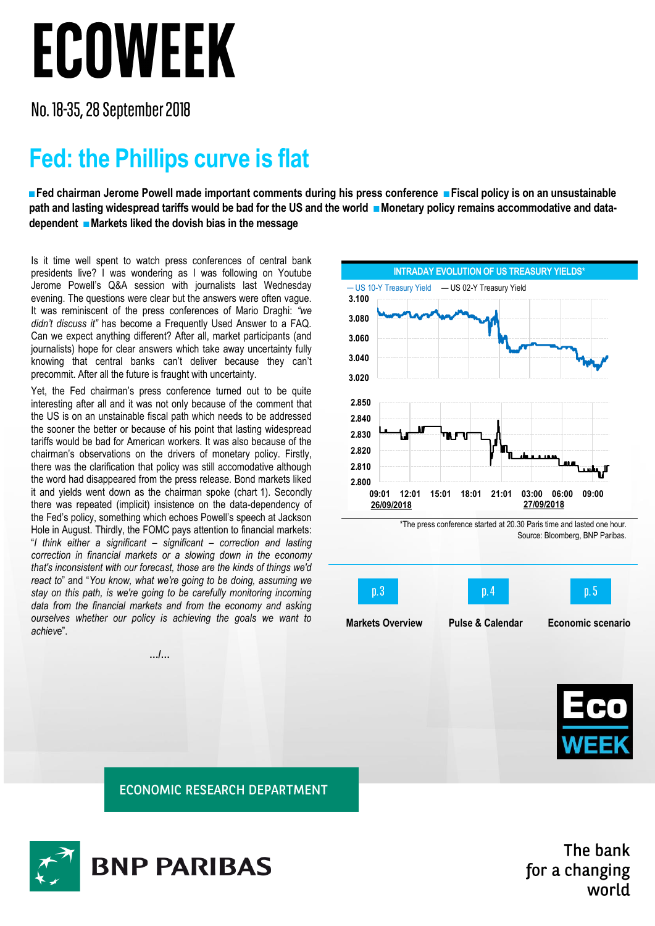## ECOWEEK

No. 18-35, 28 September 2018

## **Fed: the Phillips curve is flat**

**■Fed chairman Jerome Powell made important comments during his press conference ■Fiscal policy is on an unsustainable**  path and lasting widespread tariffs would be bad for the US and the world ■Monetary policy remains accommodative and data**dependent ■Markets liked the dovish bias in the message** 

Is it time well spent to watch press conferences of central bank presidents live? I was wondering as I was following on Youtube Jerome Powell's Q&A session with journalists last Wednesday evening. The questions were clear but the answers were often vague. It was reminiscent of the press conferences of Mario Draghi: *"we didn't discuss it"* has become a Frequently Used Answer to a FAQ. Can we expect anything different? After all, market participants (and journalists) hope for clear answers which take away uncertainty fully knowing that central banks can't deliver because they can't precommit. After all the future is fraught with uncertainty.

Yet, the Fed chairman's press conference turned out to be quite interesting after all and it was not only because of the comment that the US is on an unstainable fiscal path which needs to be addressed the sooner the better or because of his point that lasting widespread tariffs would be bad for American workers. It was also because of the chairman's observations on the drivers of monetary policy. Firstly, there was the clarification that policy was still accomodative although the word had disappeared from the press release. Bond markets liked it and yields went down as the chairman spoke (chart 1). Secondly there was repeated (implicit) insistence on the data-dependency of the Fed's policy, something which echoes Powell's speech at Jackson Hole in August. Thirdly, the FOMC pays attention to financial markets: "*I think either a significant – significant – correction and lasting correction in financial markets or a slowing down in the economy that's inconsistent with our forecast, those are the kinds of things we'd react to*" and "*You know, what we're going to be doing, assuming we stay on this path, is we're going to be carefully monitoring incoming data from the financial markets and from the economy and asking ourselves whether our policy is achieving the goals we want to achiev*e".

**…/…**

**INTRADAY EVOLUTION OF US TREASURY YIELDS ─** US 10-Y Treasury Yield — US 02-Y Treasury Yield \*The press conference started at 20.30 Paris time and lasted one hour. **2.800 2.810 2.820 2.830 2.840 2.850 09:01 12:01 15:01 18:01 21:01 03:00 06:00 09:00 26/09/2018 27/09/2018 3.020 3.040 3.060 3.080 3.100**

Source: Bloomberg, BNP Paribas.





**ECONOMIC RESEARCH DEPARTMENT** 



The bank for a changing world